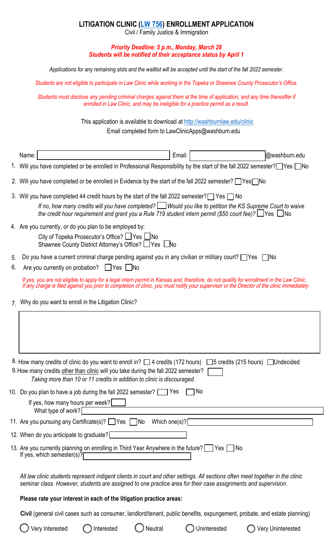## **LITIGATION CLINIC [\(LW 756\)](http://washburnlaw.edu/academics/courses/c.html#lw756) ENROLLMENT APPLICATION**

Civil / Family Justice & Immigration

## *Priority Deadline: 5 p.m., Monday, March 28 Students will be notified of their acceptance status by April 1*

*Applications for any remaining slots and the waitlist will be accepted until the start of the fall 2022 semester.* 

*Students are not eligible to participate in Law Clinic while working in the Topeka or Shawnee County Prosecutor's Office.*

*Students must disclose any pending criminal charges against them at the time of application, and any time thereafter if enrolled in Law Clinic, and may be ineligible for a practice permit as a result.* 

This application is available to download [at http://washburnlaw.edu/clin](mailto:LawClinicApps@washburn.edu)ic

Email completed form to Law[ClinicApps@washburn.edu](http://washburnlaw.edu/clinic) 

|    | Email:<br>@washburn.edu<br>Name:                                                                                                                                                                                                                                                                                                          |
|----|-------------------------------------------------------------------------------------------------------------------------------------------------------------------------------------------------------------------------------------------------------------------------------------------------------------------------------------------|
|    | 1. Will you have completed or be enrolled in Professional Responsibility by the start of the fall 2022 semester? Yes No                                                                                                                                                                                                                   |
|    | 2. Will you have completed or be enrolled in Evidence by the start of the fall 2022 semester? Yes                                                                                                                                                                                                                                         |
|    | 3. Will you have completed 44 credit hours by the start of the fall 2022 semester? $\Box$ Yes $\Box$ No<br>If no, how many credits will you have completed? Would you like to petition the KS Supreme Court to waive<br>the credit hour requirement and grant you a Rule 719 student intern permit (\$50 court fee)? $\Box$ Yes $\Box$ No |
|    | 4. Are you currently, or do you plan to be employed by:<br>City of Topeka Prosecutor's Office? ∐Yes ∐No<br>Shawnee County District Attorney's Office? ∐Yes LNo                                                                                                                                                                            |
| 5. | Do you have a current criminal charge pending against you in any civilian or military court? $\Box$ Yes $\Box$ No                                                                                                                                                                                                                         |
| 6. | Are you currently on probation? [Pys   No                                                                                                                                                                                                                                                                                                 |
|    | If yes, you are not eligible to apply for a legal intern permit in Kansas and, therefore, do not qualify for enrollment in the Law Clinic.<br>If any charge is filed against you prior to completion of clinic, you must notify your supervisor or the Director of the clinic immediately.                                                |
|    | Why do you want to enroll in the Litigation Clinic?                                                                                                                                                                                                                                                                                       |
|    |                                                                                                                                                                                                                                                                                                                                           |
|    | 8. How many credits of clinic do you want to enroll in? □ 4 credits (172 hours) □ 5 credits (215 hours) □ Undecided<br>9. How many credits other than clinic will you take during the fall 2022 semester?<br>Taking more than 10 or 11 credits in addition to clinic is discouraged.                                                      |
|    | 10. Do you plan to have a job during the fall 2022 semester? $\Box$ Yes<br><b>No</b>                                                                                                                                                                                                                                                      |
|    | If yes, how many hours per week?<br><u> 1989 - Johann Barbara, martxa alemaniar a</u><br>What type of work? $\sqrt{\phantom{a}}$                                                                                                                                                                                                          |
|    | 11. Are you pursuing any Certificate(s)? Thes Mo Which one(s)?                                                                                                                                                                                                                                                                            |
|    | 12. When do you anticipate to graduate?                                                                                                                                                                                                                                                                                                   |
|    | 13. Are you currently planning on enrolling in Third Year Anywhere in the future? Thes<br>If yes, which semester(s)?                                                                                                                                                                                                                      |
|    | All law clinic students represent indigent clients in court and other settings. All sections often meet together in the clinic<br>seminar class. However, students are assigned to one practice area for their case assignments and supervision.                                                                                          |
|    | Please rate your interest in each of the litigation practice areas:                                                                                                                                                                                                                                                                       |
|    | Civil (general civil cases such as consumer, landlord/tenant, public benefits, expungement, probate, and estate planning)                                                                                                                                                                                                                 |

Very Interested  $\bigcirc$  Interested  $\bigcirc$  Neutral  $\bigcirc$  Uninterested  $\bigcirc$  Very Uninterested